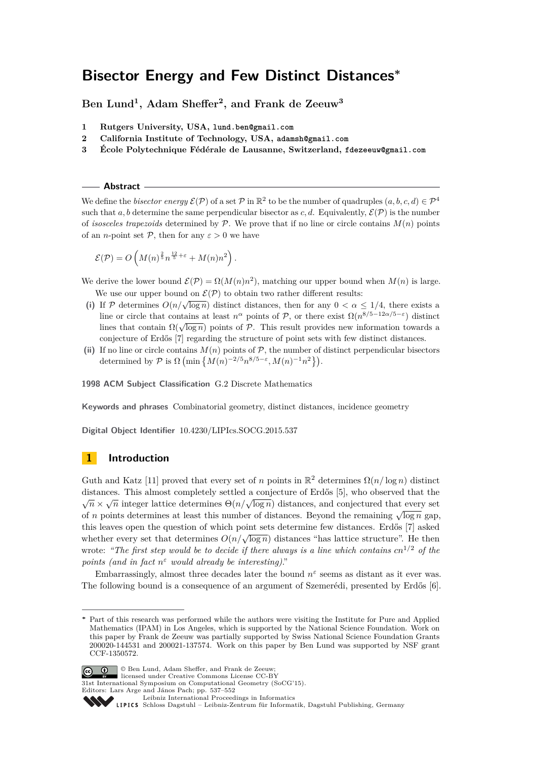**Ben Lund<sup>1</sup> , Adam Sheffer<sup>2</sup> , and Frank de Zeeuw<sup>3</sup>**

- **1 Rutgers University, USA, lund.ben@gmail.com**
- **2 California Institute of Technology, USA, adamsh@gmail.com**
- **3 École Polytechnique Fédérale de Lausanne, Switzerland, fdezeeuw@gmail.com**

**Abstract**

We define the *bisector energy*  $\mathcal{E}(\mathcal{P})$  of a set  $\mathcal{P}$  in  $\mathbb{R}^2$  to be the number of quadruples  $(a, b, c, d) \in \mathcal{P}^4$ such that a, b determine the same perpendicular bisector as c, d. Equivalently,  $\mathcal{E}(\mathcal{P})$  is the number of *isosceles trapezoids* determined by  $P$ . We prove that if no line or circle contains  $M(n)$  points of an *n*-point set  $P$ , then for any  $\varepsilon > 0$  we have

$$
\mathcal{E}(\mathcal{P}) = O\left(M(n)^{\frac{2}{5}}n^{\frac{12}{5}+\varepsilon} + M(n)n^2\right).
$$

We derive the lower bound  $\mathcal{E}(\mathcal{P}) = \Omega(M(n)n^2)$ , matching our upper bound when  $M(n)$  is large. We use our upper bound on  $\mathcal{E}(\mathcal{P})$  to obtain two rather different results:

- (i) If P determines  $O(n/\sqrt{\log n})$  distinct distances, then for any  $0 < \alpha \leq 1/4$ , there exists a line or circle that contains at least  $n^{\alpha}$  points of P, or there exist  $\Omega(n^{8/5-12\alpha/5-\epsilon})$  distinct lines that contains at least *n* points of *P*, or there exist  $\Omega(n)$  distinct lines that contain  $\Omega(\sqrt{\log n})$  points of *P*. This result provides new information towards a conjecture of Erdős [\[7\]](#page-14-0) regarding the structure of point sets with few distinct distances.
- (ii) If no line or circle contains  $M(n)$  points of  $P$ , the number of distinct perpendicular bisectors determined by  $P$  is  $\Omega$  (min  $\{M(n)^{-2/5}n^{8/5-\epsilon}, M(n)^{-1}n^2\}$ ).

**1998 ACM Subject Classification** G.2 Discrete Mathematics

**Keywords and phrases** Combinatorial geometry, distinct distances, incidence geometry

**Digital Object Identifier** [10.4230/LIPIcs.SOCG.2015.537](http://dx.doi.org/10.4230/LIPIcs.SOCG.2015.537)

# **1 Introduction**

Guth and Katz [\[11\]](#page-14-1) proved that every set of *n* points in  $\mathbb{R}^2$  determines  $\Omega(n/\log n)$  distinct distances. This almost completely settled a conjecture of Erdős [\[5\]](#page-14-2), who observed that the distances. This almost completely settled a conjecture of Erdos [0], who observed that the  $\sqrt{n} \times \sqrt{n}$  integer lattice determines  $\Theta(n/\sqrt{\log n})$  distances, and conjectured that every set  $\sqrt{n} \times \sqrt{n}$  integer lattice determines  $O(n/\sqrt{\log n})$  distances, and conjectured that every set of *n* points determines at least this number of distances. Beyond the remaining  $\sqrt{\log n}$  gap, this leaves open the question of which point sets determine few distances. Erdős [\[7\]](#page-14-0) asked whether every set that determines  $O(n/\sqrt{\log n})$  distances "has lattice structure". He then wrote: *"The first step would be to decide if there always is a line which contains cn*<sup>1</sup>*/*<sup>2</sup> *of the points (and in fact n <sup>ε</sup> would already be interesting)*."

Embarrassingly, almost three decades later the bound  $n^{\varepsilon}$  seems as distant as it ever was. The following bound is a consequence of an argument of Szemerédi, presented by Erdős [\[6\]](#page-14-3).

**<sup>∗</sup>** Part of this research was performed while the authors were visiting the Institute for Pure and Applied Mathematics (IPAM) in Los Angeles, which is supported by the National Science Foundation. Work on this paper by Frank de Zeeuw was partially supported by Swiss National Science Foundation Grants 200020-144531 and 200021-137574. Work on this paper by Ben Lund was supported by NSF grant CCF-1350572.



© Ben Lund, Adam Sheffer, and Frank de Zeeuw; licensed under Creative Commons License CC-BY

31st International Symposium on Computational Geometry (SoCG'15).

Editors: Lars Arge and János Pach; pp. 537[–552](#page-15-0)

[Leibniz International Proceedings in Informatics](http://www.dagstuhl.de/lipics/)

Leibniz international Froceedings in missimosischer Magstuhl Publishing, Germany<br>LIPICS [Schloss Dagstuhl – Leibniz-Zentrum für Informatik, Dagstuhl Publishing, Germany](http://www.dagstuhl.de)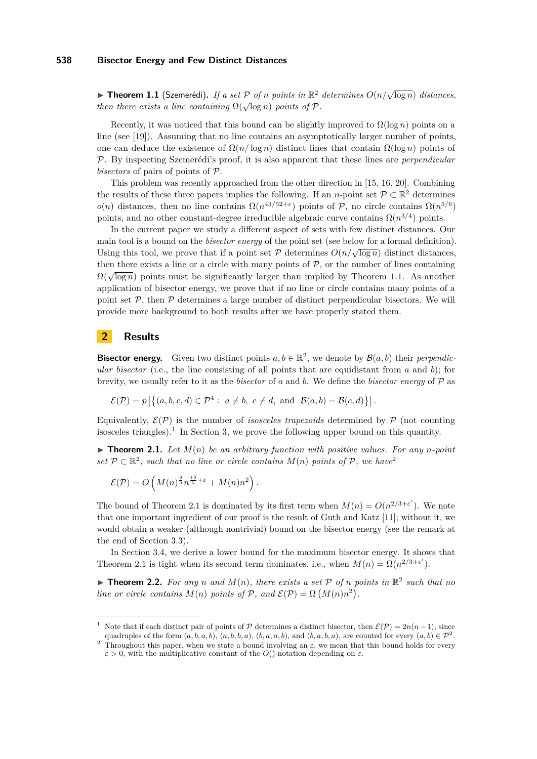<span id="page-1-0"></span>I **Theorem 1.1** (Szemerédi)**.** *If a set* P *of n points in* R <sup>2</sup> *determines <sup>O</sup>*(*n/*<sup>√</sup> log *n*) *distances, then there exists a line containing*  $\Omega(\sqrt{\log n})$  *points of*  $P$ *.* 

Recently, it was noticed that this bound can be slightly improved to  $\Omega(\log n)$  points on a line (see [\[19\]](#page-14-4)). Assuming that no line contains an asymptotically larger number of points, one can deduce the existence of  $\Omega(n/\log n)$  distinct lines that contain  $\Omega(\log n)$  points of P. By inspecting Szemerédi's proof, it is also apparent that these lines are *perpendicular bisectors* of pairs of points of P.

This problem was recently approached from the other direction in [\[15,](#page-14-5) [16,](#page-14-6) [20\]](#page-14-7). Combining the results of these three papers implies the following. If an *n*-point set  $\mathcal{P} \subset \mathbb{R}^2$  determines *o*(*n*) distances, then no line contains  $\Omega(n^{43/52+\epsilon})$  points of P, no circle contains  $\Omega(n^{5/6})$ points, and no other constant-degree irreducible algebraic curve contains  $\Omega(n^{3/4})$  points.

In the current paper we study a different aspect of sets with few distinct distances. Our main tool is a bound on the *bisector energy* of the point set (see below for a formal definition). Using this tool, we prove that if a point set  $P$  determines  $O(n/\sqrt{\log n})$  distinct distances, then there exists a line or a circle with many points of  $P$ , or the number of lines containing  $\Omega(\sqrt{\log n})$  points must be significantly larger than implied by Theorem [1.1.](#page-1-0) As another application of bisector energy, we prove that if no line or circle contains many points of a point set  $P$ , then  $P$  determines a large number of distinct perpendicular bisectors. We will provide more background to both results after we have properly stated them.

# **2 Results**

**Bisector energy.** Given two distinct points  $a, b \in \mathbb{R}^2$ , we denote by  $\mathcal{B}(a, b)$  their *perpendicular bisector* (i.e., the line consisting of all points that are equidistant from *a* and *b*); for brevity, we usually refer to it as the *bisector* of *a* and *b*. We define the *bisector energy* of P as

$$
\mathcal{E}(\mathcal{P}) = p \left| \left\{ (a, b, c, d) \in \mathcal{P}^4 : a \neq b, c \neq d, \text{ and } \mathcal{B}(a, b) = \mathcal{B}(c, d) \right\} \right|.
$$

Equivalently,  $\mathcal{E}(\mathcal{P})$  is the number of *isosceles trapezoids* determined by  $\mathcal{P}$  (not counting isosceles triangles).<sup>[1](#page-1-1)</sup> In Section [3,](#page-4-0) we prove the following upper bound on this quantity.

<span id="page-1-3"></span> $\triangleright$  **Theorem 2.1.** Let  $M(n)$  be an arbitrary function with positive values. For any *n*-point *set*  $P$  ⊂  $\mathbb{R}^2$  $\mathbb{R}^2$ *, such that no line or circle contains*  $M(n)$  *points of*  $P$ *, we have*<sup>2</sup>

$$
\mathcal{E}(\mathcal{P}) = O\left(M(n)^{\frac{2}{5}}n^{\frac{12}{5}+\varepsilon} + M(n)n^2\right).
$$

The bound of Theorem [2.1](#page-1-3) is dominated by its first term when  $M(n) = O(n^{2/3+\epsilon'})$ . We note that one important ingredient of our proof is the result of Guth and Katz [\[11\]](#page-14-1); without it, we would obtain a weaker (although nontrivial) bound on the bisector energy (see the remark at the end of Section [3.3\)](#page-7-0).

In Section [3.4,](#page-8-0) we derive a lower bound for the maximum bisector energy. It shows that Theorem [2.1](#page-1-3) is tight when its second term dominates, i.e., when  $M(n) = \Omega(n^{2/3 + \varepsilon'})$ .

<span id="page-1-4"></span>**Theorem 2.2.** For any *n* and  $M(n)$ , there exists a set  $P$  of *n* points in  $\mathbb{R}^2$  such that no *line or circle contains*  $M(n)$  *points of*  $P$ *, and*  $\mathcal{E}(P) = \Omega(M(n)n^2)$ *.* 

<span id="page-1-1"></span>Note that if each distinct pair of points of P determines a distinct bisector, then  $\mathcal{E}(\mathcal{P}) = 2n(n-1)$ , since quadruples of the form  $(a, b, a, b)$ ,  $(a, b, b, a)$ ,  $(b, a, a, b)$ , and  $(b, a, b, a)$ , are counted for every  $(a, b) \in \mathcal{P}^2$ .

<span id="page-1-2"></span><sup>&</sup>lt;sup>2</sup> Throughout this paper, when we state a bound involving an  $\varepsilon$ , we mean that this bound holds for every *ε >* 0, with the multiplicative constant of the *O*()-notation depending on *ε*.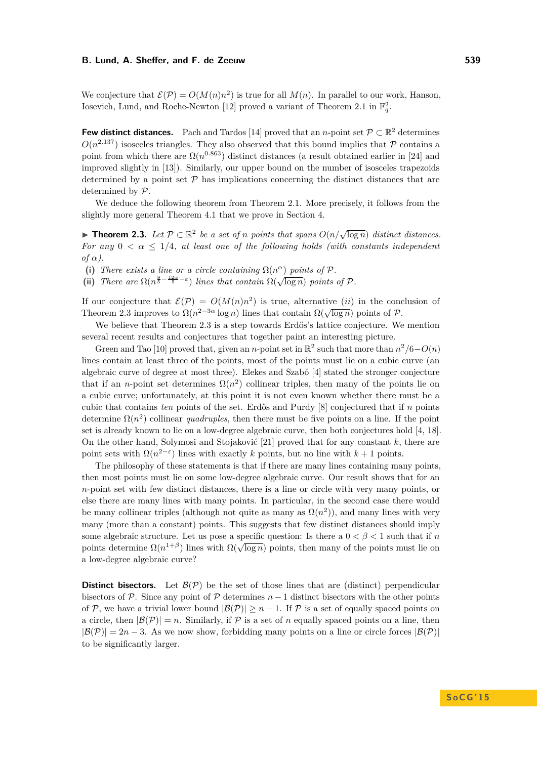We conjecture that  $\mathcal{E}(\mathcal{P}) = O(M(n)n^2)$  is true for all  $M(n)$ . In parallel to our work, Hanson, Iosevich, Lund, and Roche-Newton [\[12\]](#page-14-8) proved a variant of Theorem [2.1](#page-1-3) in  $\mathbb{F}_q^2$ .

**Few distinct distances.** Pach and Tardos [\[14\]](#page-14-9) proved that an *n*-point set  $\mathcal{P} \subset \mathbb{R}^2$  determines  $O(n^{2.137})$  isosceles triangles. They also observed that this bound implies that P contains a point from which there are  $\Omega(n^{0.863})$  distinct distances (a result obtained earlier in [\[24\]](#page-15-1) and improved slightly in [\[13\]](#page-14-10)). Similarly, our upper bound on the number of isosceles trapezoids determined by a point set  $P$  has implications concerning the distinct distances that are determined by P.

We deduce the following theorem from Theorem [2.1.](#page-1-3) More precisely, it follows from the slightly more general Theorem [4.1](#page-9-0) that we prove in Section [4.](#page-9-1)

<span id="page-2-0"></span>**► Theorem 2.3.** Let  $\mathcal{P} \subset \mathbb{R}^2$  be a set of *n* points that spans  $O(n/\sqrt{\log n})$  distinct distances. *For any*  $0 < \alpha \leq 1/4$ , at least one of the following holds (with constants independent *of*  $\alpha$ .

- (i) *There exists a line or a circle containing*  $\Omega(n^{\alpha})$  *points of*  $P$ *.*
- (i) There are  $\Omega(n^{\frac{8}{5} \frac{12\alpha}{5} \varepsilon})$  lines that contain  $\Omega(\sqrt{\log n})$  points of P.

If our conjecture that  $\mathcal{E}(\mathcal{P}) = O(M(n)n^2)$  is true, alternative *(ii)* in the conclusion of Theorem [2.3](#page-2-0) improves to  $\Omega(n^{2-3\alpha} \log n)$  lines that contain  $\Omega(\sqrt{\log n})$  points of P.

We believe that Theorem [2.3](#page-2-0) is a step towards Erdős's lattice conjecture. We mention several recent results and conjectures that together paint an interesting picture.

Green and Tao [\[10\]](#page-14-11) proved that, given an *n*-point set in  $\mathbb{R}^2$  such that more than  $n^2/6 - O(n)$ lines contain at least three of the points, most of the points must lie on a cubic curve (an algebraic curve of degree at most three). Elekes and Szabó [\[4\]](#page-14-12) stated the stronger conjecture that if an *n*-point set determines  $\Omega(n^2)$  collinear triples, then many of the points lie on a cubic curve; unfortunately, at this point it is not even known whether there must be a cubic that contains *ten* points of the set. Erdős and Purdy [\[8\]](#page-14-13) conjectured that if *n* points determine  $\Omega(n^2)$  collinear *quadruples*, then there must be five points on a line. If the point set is already known to lie on a low-degree algebraic curve, then both conjectures hold [\[4,](#page-14-12) [18\]](#page-14-14). On the other hand, Solymosi and Stojaković [\[21\]](#page-14-15) proved that for any constant *k*, there are point sets with  $\Omega(n^{2-\epsilon})$  lines with exactly *k* points, but no line with  $k+1$  points.

The philosophy of these statements is that if there are many lines containing many points, then most points must lie on some low-degree algebraic curve. Our result shows that for an *n*-point set with few distinct distances, there is a line or circle with very many points, or else there are many lines with many points. In particular, in the second case there would be many collinear triples (although not quite as many as  $\Omega(n^2)$ ), and many lines with very many (more than a constant) points. This suggests that few distinct distances should imply some algebraic structure. Let us pose a specific question: Is there a  $0 < \beta < 1$  such that if *n* points determine  $\Omega(n^{1+\beta})$  lines with  $\Omega(\sqrt{\log n})$  points, then many of the points must lie on a low-degree algebraic curve?

**Distinct bisectors.** Let  $\mathcal{B}(\mathcal{P})$  be the set of those lines that are (distinct) perpendicular bisectors of P. Since any point of P determines  $n-1$  distinct bisectors with the other points of P, we have a trivial lower bound  $|\mathcal{B}(P)| \geq n-1$ . If P is a set of equally spaced points on a circle, then  $|\mathcal{B}(\mathcal{P})| = n$ . Similarly, if  $\mathcal P$  is a set of *n* equally spaced points on a line, then  $|\mathcal{B}(\mathcal{P})| = 2n - 3$ . As we now show, forbidding many points on a line or circle forces  $|\mathcal{B}(\mathcal{P})|$ to be significantly larger.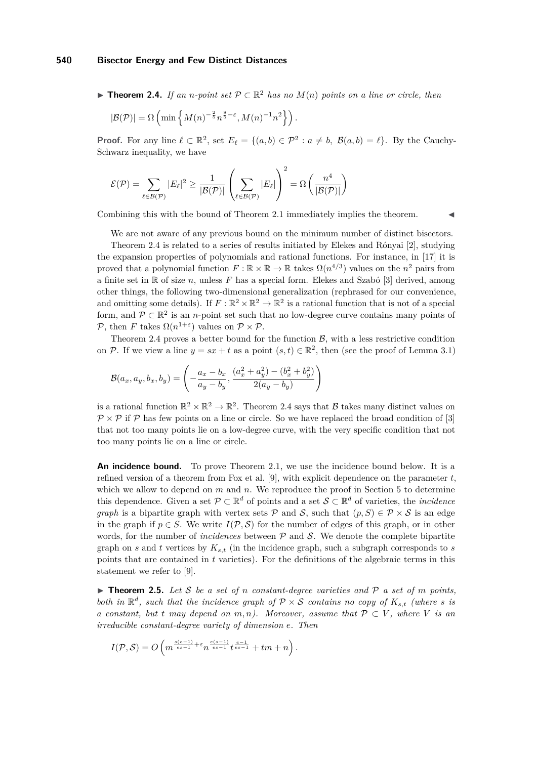<span id="page-3-0"></span>▶ **Theorem 2.4.** *If an n-point set*  $P \subset \mathbb{R}^2$  *has no*  $M(n)$  *points on a line or circle, then* 

$$
|\mathcal{B}(\mathcal{P})| = \Omega \left( \min \left\{ M(n)^{-\frac{2}{5}} n^{\frac{8}{5} - \varepsilon}, M(n)^{-1} n^2 \right\} \right).
$$

**Proof.** For any line  $\ell \subset \mathbb{R}^2$ , set  $E_\ell = \{(a, b) \in \mathcal{P}^2 : a \neq b, \ \mathcal{B}(a, b) = \ell\}$ . By the Cauchy-Schwarz inequality, we have

$$
\mathcal{E}(\mathcal{P}) = \sum_{\ell \in \mathcal{B}(\mathcal{P})} |E_{\ell}|^2 \ge \frac{1}{|\mathcal{B}(\mathcal{P})|} \left( \sum_{\ell \in \mathcal{B}(\mathcal{P})} |E_{\ell}| \right)^2 = \Omega \left( \frac{n^4}{|\mathcal{B}(\mathcal{P})|} \right)
$$

Combining this with the bound of Theorem [2.1](#page-1-3) immediately implies the theorem.

We are not aware of any previous bound on the minimum number of distinct bisectors. Theorem [2.4](#page-3-0) is related to a series of results initiated by Elekes and Rónyai [\[2\]](#page-14-16), studying the expansion properties of polynomials and rational functions. For instance, in [\[17\]](#page-14-17) it is proved that a polynomial function  $F : \mathbb{R} \times \mathbb{R} \to \mathbb{R}$  takes  $\Omega(n^{4/3})$  values on the  $n^2$  pairs from a finite set in  $\mathbb R$  of size *n*, unless  $F$  has a special form. Elekes and Szabó [\[3\]](#page-14-18) derived, among other things, the following two-dimensional generalization (rephrased for our convenience, and omitting some details). If  $F: \mathbb{R}^2 \times \mathbb{R}^2 \to \mathbb{R}^2$  is a rational function that is not of a special form, and  $\mathcal{P} \subset \mathbb{R}^2$  is an *n*-point set such that no low-degree curve contains many points of P, then *F* takes  $\Omega(n^{1+\epsilon})$  values on  $\mathcal{P} \times \mathcal{P}$ .

Theorem [2.4](#page-3-0) proves a better bound for the function  $\mathcal{B}$ , with a less restrictive condition on P. If we view a line  $y = sx + t$  as a point  $(s, t) \in \mathbb{R}^2$ , then (see the proof of Lemma [3.1\)](#page-4-1)

$$
\mathcal{B}(a_x, a_y, b_x, b_y) = \left( -\frac{a_x - b_x}{a_y - b_y}, \frac{(a_x^2 + a_y^2) - (b_x^2 + b_y^2)}{2(a_y - b_y)} \right)
$$

is a rational function  $\mathbb{R}^2 \times \mathbb{R}^2 \to \mathbb{R}^2$ . Theorem [2.4](#page-3-0) says that B takes many distinct values on  $\mathcal{P} \times \mathcal{P}$  if  $\mathcal{P}$  has few points on a line or circle. So we have replaced the broad condition of [\[3\]](#page-14-18) that not too many points lie on a low-degree curve, with the very specific condition that not too many points lie on a line or circle.

**An incidence bound.** To prove Theorem [2.1,](#page-1-3) we use the incidence bound below. It is a refined version of a theorem from Fox et al. [\[9\]](#page-14-19), with explicit dependence on the parameter *t*, which we allow to depend on *m* and *n*. We reproduce the proof in Section [5](#page-11-0) to determine this dependence. Given a set  $\mathcal{P} \subset \mathbb{R}^d$  of points and a set  $\mathcal{S} \subset \mathbb{R}^d$  of varieties, the *incidence graph* is a bipartite graph with vertex sets P and S, such that  $(p, S) \in \mathcal{P} \times \mathcal{S}$  is an edge in the graph if  $p \in S$ . We write  $I(\mathcal{P}, \mathcal{S})$  for the number of edges of this graph, or in other words, for the number of *incidences* between P and S. We denote the complete bipartite graph on *s* and *t* vertices by  $K_{s,t}$  (in the incidence graph, such a subgraph corresponds to *s* points that are contained in *t* varieties). For the definitions of the algebraic terms in this statement we refer to [\[9\]](#page-14-19).

<span id="page-3-1"></span> $\triangleright$  **Theorem 2.5.** Let S be a set of *n* constant-degree varieties and P a set of *m* points, *both in*  $\mathbb{R}^d$ *, such that the incidence graph of*  $P \times S$  *contains no copy of*  $K_{s,t}$  *(where s is a constant, but t may depend on*  $m, n$ *). Moreover, assume that*  $P \subset V$ *, where V is an irreducible constant-degree variety of dimension e. Then*

$$
I(\mathcal{P},\mathcal{S})=O\left(m^{\frac{s(e-1)}{es-1}+\varepsilon}n^{\frac{e(s-1)}{es-1}}t^{\frac{e-1}{es-1}}+tm+n\right).
$$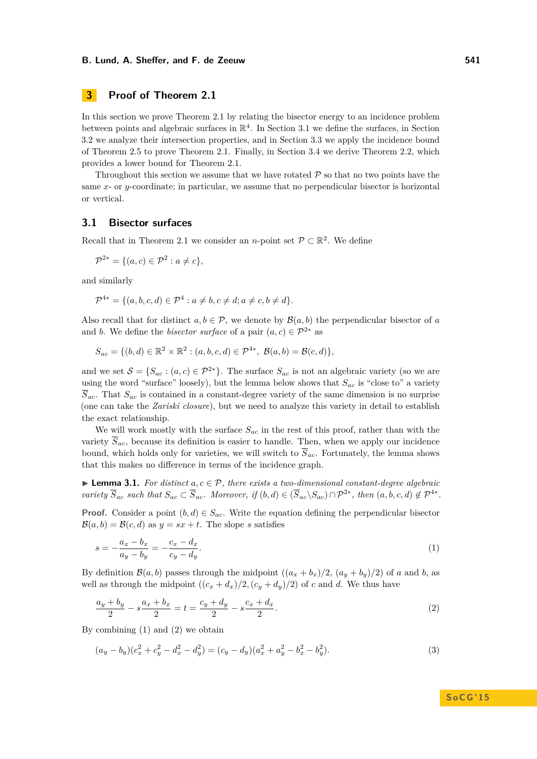# <span id="page-4-0"></span>**3 Proof of Theorem [2.1](#page-1-3)**

In this section we prove Theorem [2.1](#page-1-3) by relating the bisector energy to an incidence problem between points and algebraic surfaces in  $\mathbb{R}^4$ . In Section [3.1](#page-4-2) we define the surfaces, in Section [3.2](#page-5-0) we analyze their intersection properties, and in Section [3.3](#page-7-0) we apply the incidence bound of Theorem [2.5](#page-3-1) to prove Theorem [2.1.](#page-1-3) Finally, in Section [3.4](#page-8-0) we derive Theorem [2.2,](#page-1-4) which provides a lower bound for Theorem [2.1.](#page-1-3)

Throughout this section we assume that we have rotated  $P$  so that no two points have the same  $x$ - or  $y$ -coordinate; in particular, we assume that no perpendicular bisector is horizontal or vertical.

# <span id="page-4-2"></span>**3.1 Bisector surfaces**

Recall that in Theorem [2.1](#page-1-3) we consider an *n*-point set  $\mathcal{P} \subset \mathbb{R}^2$ . We define

$$
\mathcal{P}^{2*} = \{ (a, c) \in \mathcal{P}^2 : a \neq c \},
$$

and similarly

$$
\mathcal{P}^{4*} = \{ (a, b, c, d) \in \mathcal{P}^4 : a \neq b, c \neq d; a \neq c, b \neq d \}.
$$

Also recall that for distinct  $a, b \in \mathcal{P}$ , we denote by  $\mathcal{B}(a, b)$  the perpendicular bisector of *a* and *b*. We define the *bisector surface* of a pair  $(a, c) \in \mathcal{P}^{2*}$  as

$$
S_{ac} = \{ (b, d) \in \mathbb{R}^2 \times \mathbb{R}^2 : (a, b, c, d) \in \mathcal{P}^{4*}, \ \mathcal{B}(a, b) = \mathcal{B}(c, d) \},
$$

and we set  $S = \{S_{ac} : (a, c) \in \mathcal{P}^{2*}\}\.$  The surface  $S_{ac}$  is not an algebraic variety (so we are using the word "surface" loosely), but the lemma below shows that *Sac* is "close to" a variety  $\overline{S}_{ac}$ . That  $S_{ac}$  is contained in a constant-degree variety of the same dimension is no surprise (one can take the *Zariski closure*), but we need to analyze this variety in detail to establish the exact relationship.

We will work mostly with the surface *Sac* in the rest of this proof, rather than with the variety  $\overline{S}_{ac}$ , because its definition is easier to handle. Then, when we apply our incidence bound, which holds only for varieties, we will switch to  $\overline{S}_{ac}$ . Fortunately, the lemma shows that this makes no difference in terms of the incidence graph.

<span id="page-4-1"></span>I **Lemma 3.1.** *For distinct a, c* ∈ P*, there exists a two-dimensional constant-degree algebraic variety*  $\overline{S}_{ac}$  *such that*  $S_{ac} \subset \overline{S}_{ac}$ *. Moreover, if*  $(b,d) \in (\overline{S}_{ac} \setminus S_{ac}) \cap \mathcal{P}^{2*}$ *, then*  $(a,b,c,d) \notin \mathcal{P}^{4*}$ *.* 

**Proof.** Consider a point  $(b,d) \in S_{ac}$ . Write the equation defining the perpendicular bisector  $\mathcal{B}(a, b) = \mathcal{B}(c, d)$  as  $y = sx + t$ . The slope *s* satisfies

<span id="page-4-3"></span>
$$
s = -\frac{a_x - b_x}{a_y - b_y} = -\frac{c_x - d_x}{c_y - d_y}.\tag{1}
$$

By definition  $\mathcal{B}(a, b)$  passes through the midpoint  $((a_x + b_x)/2, (a_y + b_y)/2)$  of *a* and *b*, as well as through the midpoint  $((c_x + d_x)/2, (c_y + d_y)/2)$  of *c* and *d*. We thus have

$$
\frac{a_y + b_y}{2} - s \frac{a_x + b_x}{2} = t = \frac{c_y + d_y}{2} - s \frac{c_x + d_x}{2}.
$$
\n(2)

By combining [\(1\)](#page-4-3) and [\(2\)](#page-4-4) we obtain

$$
(a_y - b_y)(c_x^2 + c_y^2 - d_x^2 - d_y^2) = (c_y - d_y)(a_x^2 + a_y^2 - b_x^2 - b_y^2).
$$
\n(3)

# <span id="page-4-5"></span><span id="page-4-4"></span>**S o C G ' 1 5**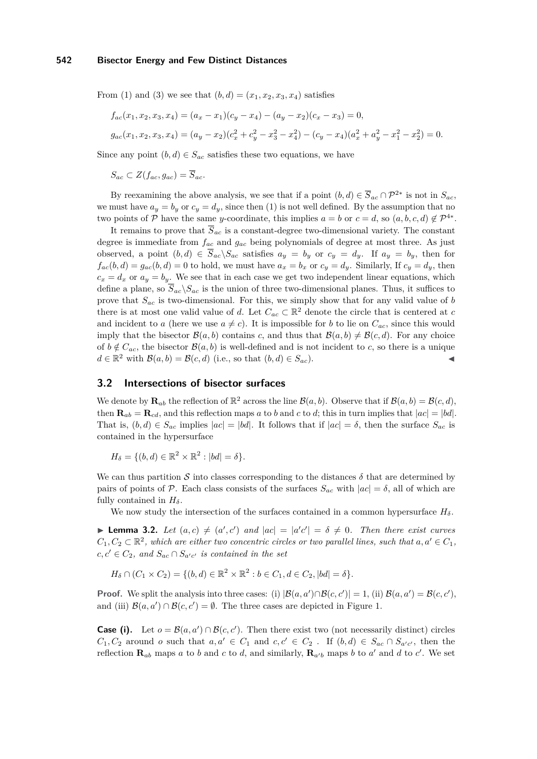From [\(1\)](#page-4-3) and [\(3\)](#page-4-5) we see that  $(b, d) = (x_1, x_2, x_3, x_4)$  satisfies

$$
f_{ac}(x_1, x_2, x_3, x_4) = (a_x - x_1)(c_y - x_4) - (a_y - x_2)(c_x - x_3) = 0,
$$
  
\n
$$
g_{ac}(x_1, x_2, x_3, x_4) = (a_y - x_2)(c_x^2 + c_y^2 - x_3^2 - x_4^2) - (c_y - x_4)(a_x^2 + a_y^2 - x_1^2 - x_2^2) = 0.
$$

Since any point  $(b, d) \in S_{ac}$  satisfies these two equations, we have

 $S_{ac} \subset Z(f_{ac}, g_{ac}) = \overline{S}_{ac}.$ 

By reexamining the above analysis, we see that if a point  $(b,d) \in \overline{S}_{ac} \cap \mathcal{P}^{2*}$  is not in  $S_{ac}$ , we must have  $a_y = b_y$  or  $c_y = d_y$ , since then [\(1\)](#page-4-3) is not well defined. By the assumption that no two points of P have the same *y*-coordinate, this implies  $a = b$  or  $c = d$ , so  $(a, b, c, d) \notin \mathcal{P}^{4*}$ .

It remains to prove that  $\overline{S}_{ac}$  is a constant-degree two-dimensional variety. The constant degree is immediate from *fac* and *gac* being polynomials of degree at most three. As just observed, a point  $(b,d) \in \overline{S}_{ac} \backslash S_{ac}$  satisfies  $a_y = b_y$  or  $c_y = d_y$ . If  $a_y = b_y$ , then for  $f_{ac}(b, d) = g_{ac}(b, d) = 0$  to hold, we must have  $a_x = b_x$  or  $c_y = d_y$ . Similarly, If  $c_y = d_y$ , then  $c_x = d_x$  or  $a_y = b_y$ . We see that in each case we get two independent linear equations, which define a plane, so  $\overline{S}_{ac}\setminus S_{ac}$  is the union of three two-dimensional planes. Thus, it suffices to prove that *Sac* is two-dimensional. For this, we simply show that for any valid value of *b* there is at most one valid value of *d*. Let  $C_{ac} \subset \mathbb{R}^2$  denote the circle that is centered at *c* and incident to *a* (here we use  $a \neq c$ ). It is impossible for *b* to lie on  $C_{ac}$ , since this would imply that the bisector  $\mathcal{B}(a, b)$  contains *c*, and thus that  $\mathcal{B}(a, b) \neq \mathcal{B}(c, d)$ . For any choice of  $b \notin C_{ac}$ , the bisector  $\mathcal{B}(a, b)$  is well-defined and is not incident to *c*, so there is a unique  $d \in \mathbb{R}^2$  with  $\mathcal{B}(a, b) = \mathcal{B}(c, d)$  (i.e., so that  $(b, d) \in S_{ac}$ ).

# <span id="page-5-0"></span>**3.2 Intersections of bisector surfaces**

We denote by  $\mathbf{R}_{ab}$  the reflection of  $\mathbb{R}^2$  across the line  $\mathcal{B}(a, b)$ . Observe that if  $\mathcal{B}(a, b) = \mathcal{B}(c, d)$ , then  $\mathbf{R}_{ab} = \mathbf{R}_{cd}$ , and this reflection maps *a* to *b* and *c* to *d*; this in turn implies that  $|ac| = |bd|$ . That is,  $(b, d) \in S_{ac}$  implies  $|ac| = |bd|$ . It follows that if  $|ac| = \delta$ , then the surface  $S_{ac}$  is contained in the hypersurface

$$
H_{\delta} = \{ (b, d) \in \mathbb{R}^2 \times \mathbb{R}^2 : |bd| = \delta \}.
$$

We can thus partition S into classes corresponding to the distances  $\delta$  that are determined by pairs of points of P. Each class consists of the surfaces  $S_{ac}$  with  $|ac| = \delta$ , all of which are fully contained in  $H_\delta$ .

We now study the intersection of the surfaces contained in a common hypersurface  $H_\delta$ .

<span id="page-5-1"></span>**Lemma 3.2.** *Let*  $(a, c) \neq (a', c')$  *and*  $|ac| = |a'c'| = \delta \neq 0$ . *Then there exist curves*  $C_1, C_2 \subset \mathbb{R}^2$ , which are either two concentric circles or two parallel lines, such that  $a, a' \in C_1$ ,  $c, c' \in C_2$ , and  $S_{ac} \cap S_{a'c'}$  is contained in the set

 $H_{\delta} \cap (C_1 \times C_2) = \{(b, d) \in \mathbb{R}^2 \times \mathbb{R}^2 : b \in C_1, d \in C_2, |bd| = \delta\}.$ 

**Proof.** We split the analysis into three cases: (i)  $|\mathcal{B}(a, a') \cap \mathcal{B}(c, c')| = 1$ , (ii)  $\mathcal{B}(a, a') = \mathcal{B}(c, c')$ , and (iii)  $\mathcal{B}(a, a') \cap \mathcal{B}(c, c') = \emptyset$ . The three cases are depicted in Figure [1.](#page-6-0)

**Case (i).** Let  $o = B(a, a') \cap B(c, c')$ . Then there exist two (not necessarily distinct) circles  $C_1, C_2$  around *o* such that  $a, a' \in C_1$  and  $c, c' \in C_2$ . If  $(b, d) \in S_{ac} \cap S_{a'c'}$ , then the reflection  $\mathbf{R}_{ab}$  maps *a* to *b* and *c* to *d*, and similarly,  $\mathbf{R}_{a'b}$  maps *b* to *a'* and *d* to *c'*. We set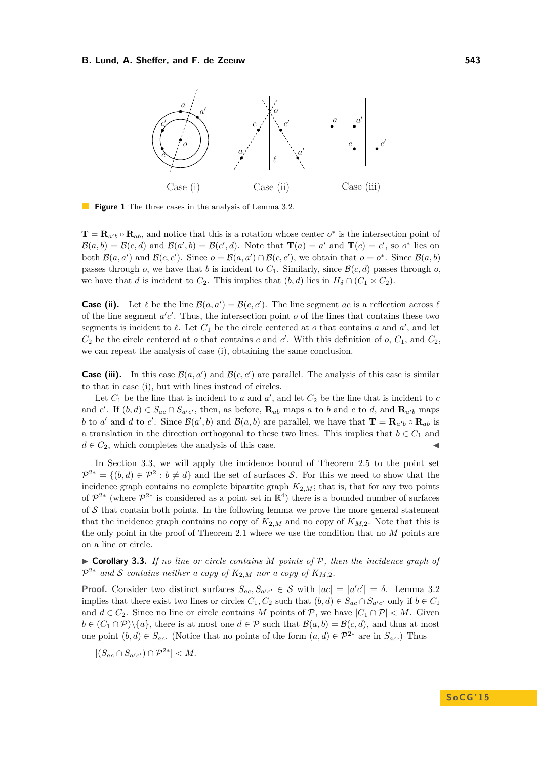<span id="page-6-0"></span>

**Figure 1** The three cases in the analysis of Lemma [3.2.](#page-5-1)

 $\mathbf{T} = \mathbf{R}_{a'b} \circ \mathbf{R}_{ab}$ , and notice that this is a rotation whose center  $o^*$  is the intersection point of  $\mathcal{B}(a,b) = \mathcal{B}(c,d)$  and  $\mathcal{B}(a',b) = \mathcal{B}(c',d)$ . Note that  $\mathbf{T}(a) = a'$  and  $\mathbf{T}(c) = c'$ , so  $o^*$  lies on both  $\mathcal{B}(a, a')$  and  $\mathcal{B}(c, c')$ . Since  $o = \mathcal{B}(a, a') \cap \mathcal{B}(c, c')$ , we obtain that  $o = o^*$ . Since  $\mathcal{B}(a, b)$ passes through *o*, we have that *b* is incident to  $C_1$ . Similarly, since  $\mathcal{B}(c, d)$  passes through *o*, we have that *d* is incident to  $C_2$ . This implies that  $(b, d)$  lies in  $H_\delta \cap (C_1 \times C_2)$ .

**Case (ii).** Let  $\ell$  be the line  $\mathcal{B}(a, a') = \mathcal{B}(c, c')$ . The line segment *ac* is a reflection across  $\ell$ of the line segment  $a'c'$ . Thus, the intersection point  $o$  of the lines that contains these two segments is incident to  $\ell$ . Let  $C_1$  be the circle centered at *o* that contains *a* and *a*<sup>'</sup>, and let  $C_2$  be the circle centered at *o* that contains *c* and *c*'. With this definition of *o*,  $C_1$ , and  $C_2$ , we can repeat the analysis of case (i), obtaining the same conclusion.

**Case (iii).** In this case  $\mathcal{B}(a, a')$  and  $\mathcal{B}(c, c')$  are parallel. The analysis of this case is similar to that in case (i), but with lines instead of circles.

Let  $C_1$  be the line that is incident to *a* and  $a'$ , and let  $C_2$  be the line that is incident to *c* and *c'*. If  $(b,d) \in S_{ac} \cap S_{a'c'}$ , then, as before,  $\mathbf{R}_{ab}$  maps *a* to *b* and *c* to *d*, and  $\mathbf{R}_{a'b}$  maps b to *a*' and *d* to *c*'. Since  $\mathcal{B}(a',b)$  and  $\mathcal{B}(a,b)$  are parallel, we have that  $\mathbf{T} = \mathbf{R}_{a'b} \circ \mathbf{R}_{ab}$  is a translation in the direction orthogonal to these two lines. This implies that  $b \in C_1$  and  $d \in C_2$ , which completes the analysis of this case.

In Section [3.3,](#page-7-0) we will apply the incidence bound of Theorem [2.5](#page-3-1) to the point set  $\mathcal{P}^{2*} = \{(b,d) \in \mathcal{P}^2 : b \neq d\}$  and the set of surfaces S. For this we need to show that the incidence graph contains no complete bipartite graph  $K_{2,M}$ ; that is, that for any two points of  $\mathcal{P}^{2*}$  (where  $\mathcal{P}^{2*}$  is considered as a point set in  $\mathbb{R}^4$ ) there is a bounded number of surfaces of  $S$  that contain both points. In the following lemma we prove the more general statement that the incidence graph contains no copy of  $K_{2,M}$  and no copy of  $K_{M,2}$ . Note that this is the only point in the proof of Theorem [2.1](#page-1-3) where we use the condition that no *M* points are on a line or circle.

<span id="page-6-1"></span>I **Corollary 3.3.** *If no line or circle contains M points of* P*, then the incidence graph of*  $\mathcal{P}^{2*}$  and S contains neither a copy of  $K_{2,M}$  nor a copy of  $K_{M,2}$ .

**Proof.** Consider two distinct surfaces  $S_{ac}$ ,  $S_{a'c'} \in S$  with  $|ac| = |a'c'| = \delta$ . Lemma [3.2](#page-5-1) implies that there exist two lines or circles  $C_1, C_2$  such that  $(b, d) \in S_{ac} \cap S_{a'c'}$  only if  $b \in C_1$ and  $d \in C_2$ . Since no line or circle contains *M* points of  $P$ , we have  $|C_1 \cap P| < M$ . Given  $b \in (C_1 \cap \mathcal{P}) \setminus \{a\}$ , there is at most one  $d \in \mathcal{P}$  such that  $\mathcal{B}(a, b) = \mathcal{B}(c, d)$ , and thus at most one point  $(b,d) \in S_{ac}$ . (Notice that no points of the form  $(a,d) \in \mathcal{P}^{2*}$  are in  $S_{ac}$ .) Thus

$$
|(S_{ac} \cap S_{a'c'}) \cap \mathcal{P}^{2*}| < M.
$$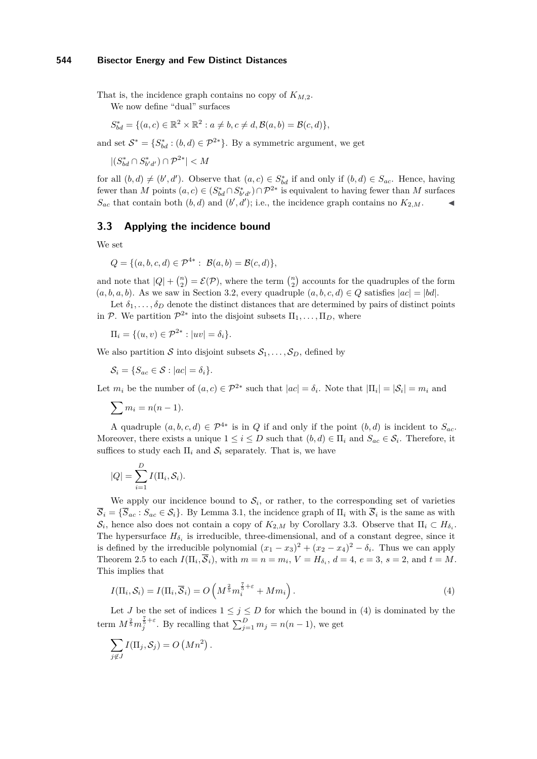That is, the incidence graph contains no copy of *KM,*2. We now define "dual" surfaces

$$
S_{bd}^* = \{ (a, c) \in \mathbb{R}^2 \times \mathbb{R}^2 : a \neq b, c \neq d, B(a, b) = B(c, d) \},
$$

and set  $S^* = \{S^*_{bd} : (b, d) \in \mathcal{P}^{2*}\}\.$  By a symmetric argument, we get

 $|(S^*_{bd} \cap S^*_{b'd'}) \cap \mathcal{P}^{2*}| < M$ 

for all  $(b, d) \neq (b', d')$ . Observe that  $(a, c) \in S_{bd}^*$  if and only if  $(b, d) \in S_{ac}$ . Hence, having fewer than *M* points  $(a, c) \in (S_{bd}^* \cap S_{b'd'}^*) \cap \mathcal{P}^{2*}$  is equivalent to having fewer than *M* surfaces  $S_{ac}$  that contain both  $(b, d)$  and  $(b', d')$ ; i.e., the incidence graph contains no  $K_{2,M}$ .

# <span id="page-7-0"></span>**3.3 Applying the incidence bound**

We set

$$
Q = \{(a, b, c, d) \in \mathcal{P}^{4*} : \ \mathcal{B}(a, b) = \mathcal{B}(c, d)\},
$$

and note that  $|Q| + {n \choose 2} = \mathcal{E}(\mathcal{P})$ , where the term  ${n \choose 2}$  accounts for the quadruples of the form  $(a, b, a, b)$ . As we saw in Section [3.2,](#page-5-0) every quadruple  $(a, b, c, d) \in Q$  satisfies  $|ac| = |bd|$ .

Let  $\delta_1, \ldots, \delta_D$  denote the distinct distances that are determined by pairs of distinct points in P. We partition  $\mathcal{P}^{2*}$  into the disjoint subsets  $\Pi_1, \ldots, \Pi_D$ , where

 $\Pi_i = \{(u, v) \in \mathcal{P}^{2*} : |uv| = \delta_i\}.$ 

We also partition S into disjoint subsets  $S_1, \ldots, S_D$ , defined by

 $\mathcal{S}_i = \{S_{ac} \in \mathcal{S} : |ac| = \delta_i\}.$ 

Let  $m_i$  be the number of  $(a, c) \in \mathcal{P}^{2*}$  such that  $|ac| = \delta_i$ . Note that  $|\Pi_i| = |\mathcal{S}_i| = m_i$  and

$$
\sum m_i = n(n-1).
$$

A quadruple  $(a, b, c, d) \in \mathcal{P}^{4*}$  is in *Q* if and only if the point  $(b, d)$  is incident to  $S_{ac}$ . Moreover, there exists a unique  $1 \leq i \leq D$  such that  $(b,d) \in \Pi_i$  and  $S_{ac} \in \mathcal{S}_i$ . Therefore, it suffices to study each  $\Pi_i$  and  $S_i$  separately. That is, we have

$$
|Q| = \sum_{i=1}^{D} I(\Pi_i, \mathcal{S}_i).
$$

We apply our incidence bound to  $S_i$ , or rather, to the corresponding set of varieties  $\overline{S}_i = \{\overline{S}_{ac} : S_{ac} \in S_i\}$ . By Lemma [3.1,](#page-4-1) the incidence graph of  $\Pi_i$  with  $\overline{S}_i$  is the same as with  $\mathcal{S}_i$ , hence also does not contain a copy of  $K_{2,M}$  by Corollary [3.3.](#page-6-1) Observe that  $\Pi_i \subset H_{\delta_i}$ . The hypersurface  $H_{\delta_i}$  is irreducible, three-dimensional, and of a constant degree, since it is defined by the irreducible polynomial  $(x_1 - x_3)^2 + (x_2 - x_4)^2 - \delta_i$ . Thus we can apply Theorem [2.5](#page-3-1) to each  $I(\Pi_i, \overline{S}_i)$ , with  $m = n = m_i$ ,  $V = H_{\delta_i}$ ,  $d = 4$ ,  $e = 3$ ,  $s = 2$ , and  $t = M$ . This implies that

<span id="page-7-1"></span>
$$
I(\Pi_i, \mathcal{S}_i) = I(\Pi_i, \overline{\mathcal{S}}_i) = O\left(M^{\frac{2}{5}} m_i^{\frac{7}{5} + \varepsilon} + M m_i\right).
$$
\n(4)

Let *J* be the set of indices  $1 \leq j \leq D$  for which the bound in [\(4\)](#page-7-1) is dominated by the term  $M^{\frac{2}{5}}m_j^{\frac{7}{5}+\varepsilon}$ . By recalling that  $\sum_{j=1}^D m_j = n(n-1)$ , we get

$$
\sum_{j \notin J} I(\Pi_j, S_j) = O\left(Mn^2\right).
$$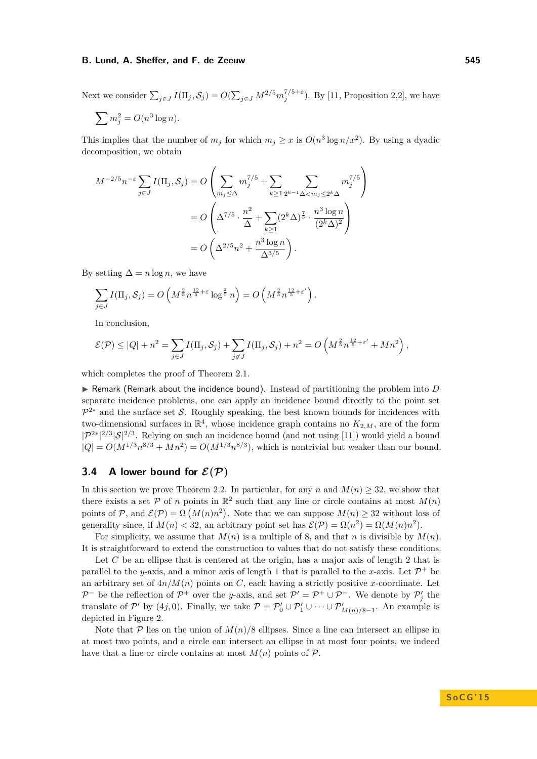Next we consider  $\sum_{j\in J} I(\Pi_j, \mathcal{S}_j) = O(\sum_{j\in J} M^{2/5} m_j^{7/5+\varepsilon})$ . By [\[11,](#page-14-1) Proposition 2.2], we have

$$
\sum m_j^2 = O(n^3 \log n).
$$

This implies that the number of  $m_j$  for which  $m_j \geq x$  is  $O(n^3 \log n/x^2)$ . By using a dyadic decomposition, we obtain

$$
M^{-2/5}n^{-\varepsilon} \sum_{j\in J} I(\Pi_j, S_j) = O\left(\sum_{m_j \leq \Delta} m_j^{7/5} + \sum_{k \geq 1} \sum_{2^{k-1} \Delta < m_j \leq 2^k \Delta} m_j^{7/5}\right)
$$
  
= 
$$
O\left(\Delta^{7/5} \cdot \frac{n^2}{\Delta} + \sum_{k \geq 1} (2^k \Delta)^{\frac{7}{5}} \cdot \frac{n^3 \log n}{(2^k \Delta)^2}\right)
$$
  
= 
$$
O\left(\Delta^{2/5}n^2 + \frac{n^3 \log n}{\Delta^{3/5}}\right).
$$

By setting  $\Delta = n \log n$ , we have

$$
\sum_{j\in J} I(\Pi_j, S_j) = O\left(M^{\frac{2}{5}} n^{\frac{12}{5} + \varepsilon} \log^{\frac{2}{5}} n\right) = O\left(M^{\frac{2}{5}} n^{\frac{12}{5} + \varepsilon'}\right).
$$

In conclusion,

$$
\mathcal{E}(\mathcal{P}) \leq |Q| + n^2 = \sum_{j \in J} I(\Pi_j, \mathcal{S}_j) + \sum_{j \notin J} I(\Pi_j, \mathcal{S}_j) + n^2 = O\left(M^{\frac{2}{5}} n^{\frac{12}{5} + \varepsilon'} + Mn^2\right),
$$

which completes the proof of Theorem [2.1.](#page-1-3)

 $\triangleright$  Remark (Remark about the incidence bound). Instead of partitioning the problem into *D* separate incidence problems, one can apply an incidence bound directly to the point set  $\mathcal{P}^{2*}$  and the surface set S. Roughly speaking, the best known bounds for incidences with two-dimensional surfaces in  $\mathbb{R}^4$ , whose incidence graph contains no  $K_{2,M}$ , are of the form  $|\mathcal{P}^{2*}|^{2/3}|\mathcal{S}|^{2/3}$ . Relying on such an incidence bound (and not using [\[11\]](#page-14-1)) would yield a bound  $|Q| = O(M^{1/3}n^{8/3} + Mn^2) = O(M^{1/3}n^{8/3})$ , which is nontrivial but weaker than our bound.

# <span id="page-8-0"></span>**3.4** A lower bound for  $\mathcal{E}(\mathcal{P})$

In this section we prove Theorem [2.2.](#page-1-4) In particular, for any *n* and  $M(n) \geq 32$ , we show that there exists a set  $P$  of *n* points in  $\mathbb{R}^2$  such that any line or circle contains at most  $M(n)$ points of P, and  $\mathcal{E}(\mathcal{P}) = \Omega(M(n)n^2)$ . Note that we can suppose  $M(n) \geq 32$  without loss of generality since, if  $M(n) < 32$ , an arbitrary point set has  $\mathcal{E}(\mathcal{P}) = \Omega(n^2) = \Omega(M(n)n^2)$ .

For simplicity, we assume that  $M(n)$  is a multiple of 8, and that *n* is divisible by  $M(n)$ . It is straightforward to extend the construction to values that do not satisfy these conditions.

Let C be an ellipse that is centered at the origin, has a major axis of length 2 that is parallel to the *y*-axis, and a minor axis of length 1 that is parallel to the *x*-axis. Let  $\mathcal{P}^+$  be an arbitrary set of  $4n/M(n)$  points on *C*, each having a strictly positive *x*-coordinate. Let  $\mathcal{P}^-$  be the reflection of  $\mathcal{P}^+$  over the *y*-axis, and set  $\mathcal{P}' = \mathcal{P}^+ \cup \mathcal{P}^-$ . We denote by  $\mathcal{P}'_j$  the translate of P' by (4*j*, 0). Finally, we take  $P = P'_0 \cup P'_1 \cup \cdots \cup P'_{M(n)/8-1}$ . An example is depicted in Figure [2.](#page-9-2)

Note that  $P$  lies on the union of  $M(n)/8$  ellipses. Since a line can intersect an ellipse in at most two points, and a circle can intersect an ellipse in at most four points, we indeed have that a line or circle contains at most  $M(n)$  points of  $P$ .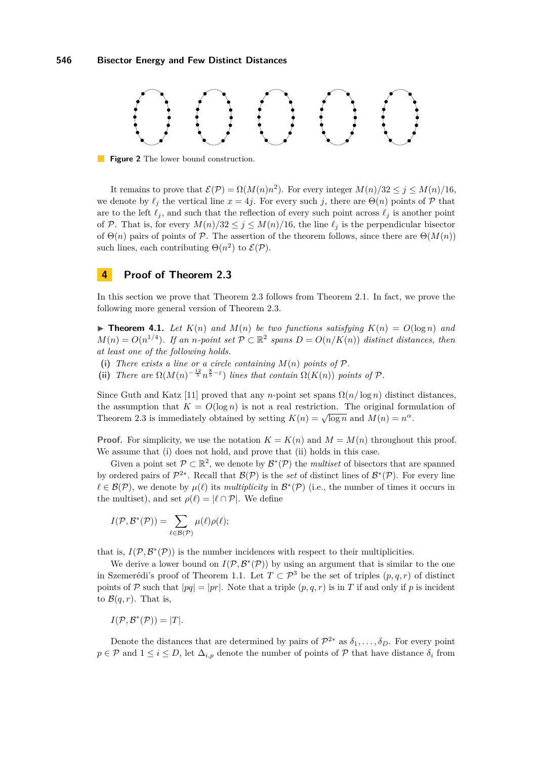<span id="page-9-2"></span>

**Figure 2** The lower bound construction.

It remains to prove that  $\mathcal{E}(\mathcal{P}) = \Omega(M(n)n^2)$ . For every integer  $M(n)/32 \leq j \leq M(n)/16$ , we denote by  $\ell_j$  the vertical line  $x = 4j$ . For every such *j*, there are  $\Theta(n)$  points of P that are to the left  $\ell_j$ , and such that the reflection of every such point across  $\ell_j$  is another point of P. That is, for every  $M(n)/32 \leq j \leq M(n)/16$ , the line  $\ell_j$  is the perpendicular bisector of  $\Theta(n)$  pairs of points of P. The assertion of the theorem follows, since there are  $\Theta(M(n))$ such lines, each contributing  $\Theta(n^2)$  to  $\mathcal{E}(\mathcal{P})$ .

# <span id="page-9-1"></span>**4 Proof of Theorem [2.3](#page-2-0)**

In this section we prove that Theorem [2.3](#page-2-0) follows from Theorem [2.1.](#page-1-3) In fact, we prove the following more general version of Theorem [2.3.](#page-2-0)

<span id="page-9-0"></span> $\triangleright$  **Theorem 4.1.** Let  $K(n)$  and  $M(n)$  be two functions satisfying  $K(n) = O(\log n)$  and  $M(n) = O(n^{1/4})$ *. If an n-point set*  $P \subset \mathbb{R}^2$  spans  $D = O(n/K(n))$  distinct distances, then *at least one of the following holds.*

- (i) There exists a line or a circle containing  $M(n)$  points of  $P$ .
- (ii) *There are*  $\Omega(M(n)^{-\frac{12}{5}}n^{\frac{8}{5}-\epsilon})$  *lines that contain*  $\Omega(K(n))$  *points of* P.

Since Guth and Katz [\[11\]](#page-14-1) proved that any *n*-point set spans  $\Omega(n/\log n)$  distinct distances, the assumption that  $K = O(\log n)$  is not a real restriction. The original formulation of Theorem [2.3](#page-2-0) is immediately obtained by setting  $K(n) = \sqrt{\log n}$  and  $M(n) = n^{\alpha}$ .

**Proof.** For simplicity, we use the notation  $K = K(n)$  and  $M = M(n)$  throughout this proof. We assume that (i) does not hold, and prove that (ii) holds in this case.

Given a point set  $\mathcal{P} \subset \mathbb{R}^2$ , we denote by  $\mathcal{B}^*(\mathcal{P})$  the *multiset* of bisectors that are spanned by ordered pairs of  $\mathcal{P}^{2*}$ . Recall that  $\mathcal{B}(\mathcal{P})$  is the *set* of distinct lines of  $\mathcal{B}^*(\mathcal{P})$ . For every line  $\ell \in \mathcal{B}(\mathcal{P})$ , we denote by  $\mu(\ell)$  its *multiplicity* in  $\mathcal{B}^*(\mathcal{P})$  (i.e., the number of times it occurs in the multiset), and set  $\rho(\ell) = |\ell \cap \mathcal{P}|$ . We define

$$
I(\mathcal{P}, \mathcal{B}^*(\mathcal{P})) = \sum_{\ell \in \mathcal{B}(\mathcal{P})} \mu(\ell) \rho(\ell);
$$

that is,  $I(\mathcal{P}, \mathcal{B}^*(\mathcal{P}))$  is the number incidences with respect to their multiplicities.

We derive a lower bound on  $I(\mathcal{P}, \mathcal{B}^*(\mathcal{P}))$  by using an argument that is similar to the one in Szemerédi's proof of Theorem [1.1.](#page-1-0) Let  $T \subset \mathcal{P}^3$  be the set of triples  $(p,q,r)$  of distinct points of P such that  $|pq| = |pr|$ . Note that a triple  $(p, q, r)$  is in T if and only if p is incident to  $\mathcal{B}(q,r)$ . That is,

$$
I(\mathcal{P}, \mathcal{B}^*(\mathcal{P})) = |T|.
$$

Denote the distances that are determined by pairs of  $\mathcal{P}^{2*}$  as  $\delta_1, \ldots, \delta_D$ . For every point  $p \in \mathcal{P}$  and  $1 \leq i \leq D$ , let  $\Delta_{i,p}$  denote the number of points of  $\mathcal{P}$  that have distance  $\delta_i$  from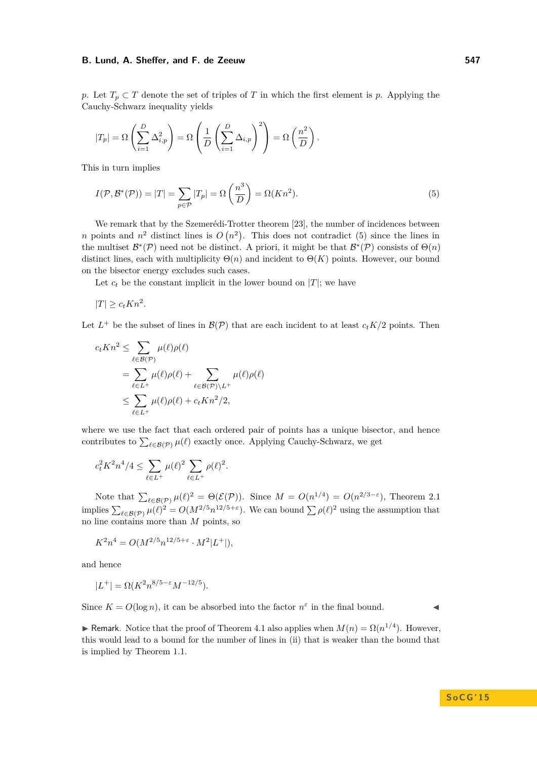*p*. Let  $T_p \subset T$  denote the set of triples of *T* in which the first element is *p*. Applying the Cauchy-Schwarz inequality yields

$$
|T_p| = \Omega\left(\sum_{i=1}^D \Delta_{i,p}^2\right) = \Omega\left(\frac{1}{D}\left(\sum_{i=1}^D \Delta_{i,p}\right)^2\right) = \Omega\left(\frac{n^2}{D}\right).
$$

This in turn implies

<span id="page-10-0"></span>
$$
I(\mathcal{P}, \mathcal{B}^*(\mathcal{P})) = |T| = \sum_{p \in \mathcal{P}} |T_p| = \Omega\left(\frac{n^3}{D}\right) = \Omega(Kn^2). \tag{5}
$$

We remark that by the Szemerédi-Trotter theorem [\[23\]](#page-15-2), the number of incidences between *n* points and  $n^2$  distinct lines is  $O(n^2)$ . This does not contradict [\(5\)](#page-10-0) since the lines in the multiset  $\mathcal{B}^*(\mathcal{P})$  need not be distinct. A priori, it might be that  $\mathcal{B}^*(\mathcal{P})$  consists of  $\Theta(n)$ distinct lines, each with multiplicity  $\Theta(n)$  and incident to  $\Theta(K)$  points. However, our bound on the bisector energy excludes such cases.

Let  $c_t$  be the constant implicit in the lower bound on  $|T|$ ; we have

$$
|T| \ge c_t Kn^2.
$$

Let  $L^+$  be the subset of lines in  $\mathcal{B}(\mathcal{P})$  that are each incident to at least  $c_t K/2$  points. Then

$$
c_t K n^2 \leq \sum_{\ell \in \mathcal{B}(\mathcal{P})} \mu(\ell) \rho(\ell)
$$
  
= 
$$
\sum_{\ell \in L^+} \mu(\ell) \rho(\ell) + \sum_{\ell \in \mathcal{B}(\mathcal{P}) \backslash L^+} \mu(\ell) \rho(\ell)
$$
  

$$
\leq \sum_{\ell \in L^+} \mu(\ell) \rho(\ell) + c_t K n^2 / 2,
$$

where we use the fact that each ordered pair of points has a unique bisector, and hence contributes to  $\sum_{\ell \in \mathcal{B}(\mathcal{P})} \mu(\ell)$  exactly once. Applying Cauchy-Schwarz, we get

$$
c_t^2 K^2 n^4/4 \le \sum_{\ell \in L^+} \mu(\ell)^2 \sum_{\ell \in L^+} \rho(\ell)^2.
$$

Note that  $\sum_{\ell \in \mathcal{B}(\mathcal{P})} \mu(\ell)^2 = \Theta(\mathcal{E}(\mathcal{P}))$ . Since  $M = O(n^{1/4}) = O(n^{2/3-\epsilon})$ , Theorem [2.1](#page-1-3) implies  $\sum_{\ell \in \mathcal{B}(\mathcal{P})} \mu(\ell)^2 = O(M^{2/5} n^{12/5+\epsilon})$ . We can bound  $\sum \rho(\ell)^2$  using the assumption that no line contains more than *M* points, so

$$
K^{2}n^{4} = O(M^{2/5}n^{12/5+\varepsilon} \cdot M^{2}|L^{+}|),
$$

and hence

$$
|L^+|=\Omega(K^2n^{8/5-\varepsilon}M^{-12/5}).
$$

Since  $K = O(\log n)$ , it can be absorbed into the factor  $n^{\epsilon}$  in the final bound.

 $\blacktriangleright$  Remark. Notice that the proof of Theorem [4.1](#page-9-0) also applies when *M*(*n*) = Ω(*n*<sup>1/4</sup>). However, this would lead to a bound for the number of lines in (ii) that is weaker than the bound that is implied by Theorem [1.1.](#page-1-0)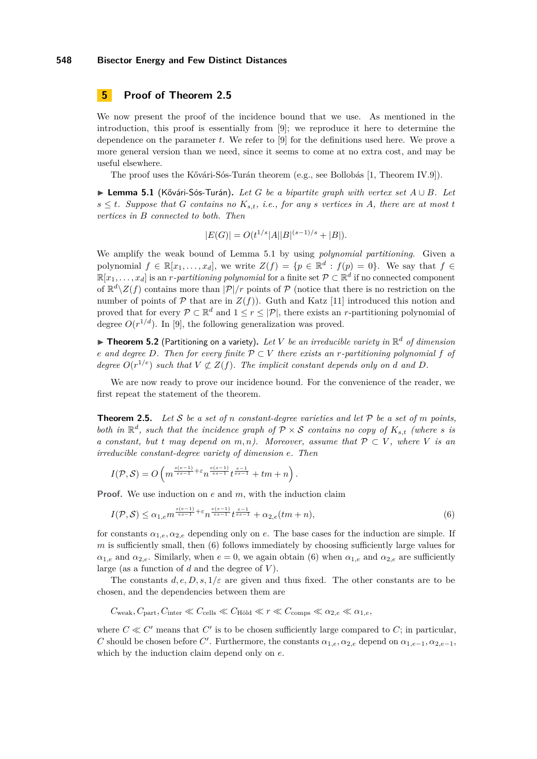# <span id="page-11-0"></span>**5 Proof of Theorem [2.5](#page-3-1)**

We now present the proof of the incidence bound that we use. As mentioned in the introduction, this proof is essentially from [\[9\]](#page-14-19); we reproduce it here to determine the dependence on the parameter *t*. We refer to [\[9\]](#page-14-19) for the definitions used here. We prove a more general version than we need, since it seems to come at no extra cost, and may be useful elsewhere.

The proof uses the Kővári-Sós-Turán theorem (e.g., see Bollobás [\[1,](#page-14-20) Theorem IV.9]).

<span id="page-11-1"></span>I **Lemma 5.1** (Kővári-Sós-Turán)**.** *Let G be a bipartite graph with vertex set A* ∪ *B. Let*  $s \leq t$ *. Suppose that G contains no*  $K_{s,t}$ *, i.e., for any s vertices in A, there are at most t vertices in B connected to both. Then*

$$
|E(G)| = O(t^{1/s}|A||B|^{(s-1)/s} + |B|).
$$

We amplify the weak bound of Lemma [5.1](#page-11-1) by using *polynomial partitioning*. Given a polynomial  $f \in \mathbb{R}[x_1,\ldots,x_d]$ , we write  $Z(f) = \{p \in \mathbb{R}^d : f(p) = 0\}$ . We say that  $f \in$  $\mathbb{R}[x_1,\ldots,x_d]$  is an *r-partitioning polynomial* for a finite set  $\mathcal{P} \subset \mathbb{R}^d$  if no connected component of  $\mathbb{R}^d \setminus Z(f)$  contains more than  $|\mathcal{P}|/r$  points of  $\mathcal P$  (notice that there is no restriction on the number of points of  $P$  that are in  $Z(f)$ ). Guth and Katz [\[11\]](#page-14-1) introduced this notion and proved that for every  $P \subset \mathbb{R}^d$  and  $1 \leq r \leq |\mathcal{P}|$ , there exists an *r*-partitioning polynomial of degree  $O(r^{1/d})$ . In [\[9\]](#page-14-19), the following generalization was proved.

<span id="page-11-3"></span> $\blacktriangleright$  **Theorem 5.2** (Partitioning on a variety). Let V be an irreducible variety in  $\mathbb{R}^d$  of dimension *e* and degree D. Then for every finite  $P \subset V$  there exists an *r*-partitioning polynomial f of *degree*  $O(r^{1/e})$  *such that*  $V \not\subset Z(f)$ *. The implicit constant depends only on d and D.* 

We are now ready to prove our incidence bound. For the convenience of the reader, we first repeat the statement of the theorem.

**Theorem [2.5.](#page-3-1)** *Let* S *be a set of n constant-degree varieties and let* P *be a set of m points, both in*  $\mathbb{R}^d$ *, such that the incidence graph of*  $P \times S$  *contains no copy of*  $K_{s,t}$  *(where s is a* constant, but *t* may depend on  $m, n$ ). Moreover, assume that  $P \subset V$ , where V is an *irreducible constant-degree variety of dimension e. Then*

<span id="page-11-2"></span>
$$
I(\mathcal{P}, \mathcal{S}) = O\left(m^{\frac{s(e-1)}{es-1} + \varepsilon} n^{\frac{e(s-1)}{es-1}} t^{\frac{e-1}{es-1}} + tm + n\right).
$$

**Proof.** We use induction on *e* and *m*, with the induction claim

$$
I(\mathcal{P}, \mathcal{S}) \le \alpha_{1,e} m^{\frac{s(e-1)}{es-1} + \varepsilon} n^{\frac{e(s-1)}{es-1}} t^{\frac{e-1}{es-1}} + \alpha_{2,e}(tm+n),\tag{6}
$$

for constants  $\alpha_{1,e}, \alpha_{2,e}$  depending only on *e*. The base cases for the induction are simple. If *m* is sufficiently small, then [\(6\)](#page-11-2) follows immediately by choosing sufficiently large values for  $\alpha_{1,e}$  and  $\alpha_{2,e}$ . Similarly, when  $e = 0$ , we again obtain [\(6\)](#page-11-2) when  $\alpha_{1,e}$  and  $\alpha_{2,e}$  are sufficiently large (as a function of *d* and the degree of *V* ).

The constants  $d, e, D, s, 1/\varepsilon$  are given and thus fixed. The other constants are to be chosen, and the dependencies between them are

 $C_{\text{weak}}$ ,  $C_{\text{part}}$ ,  $C_{\text{inter}} \ll C_{\text{cells}} \ll C_{\text{Höld}} \ll r \ll C_{\text{comps}} \ll \alpha_{2,e} \ll \alpha_{1,e}$ 

where  $C \ll C'$  means that  $C'$  is to be chosen sufficiently large compared to  $C$ ; in particular, *C* should be chosen before *C*'. Furthermore, the constants  $\alpha_{1,e}, \alpha_{2,e}$  depend on  $\alpha_{1,e-1}, \alpha_{2,e-1}$ , which by the induction claim depend only on *e*.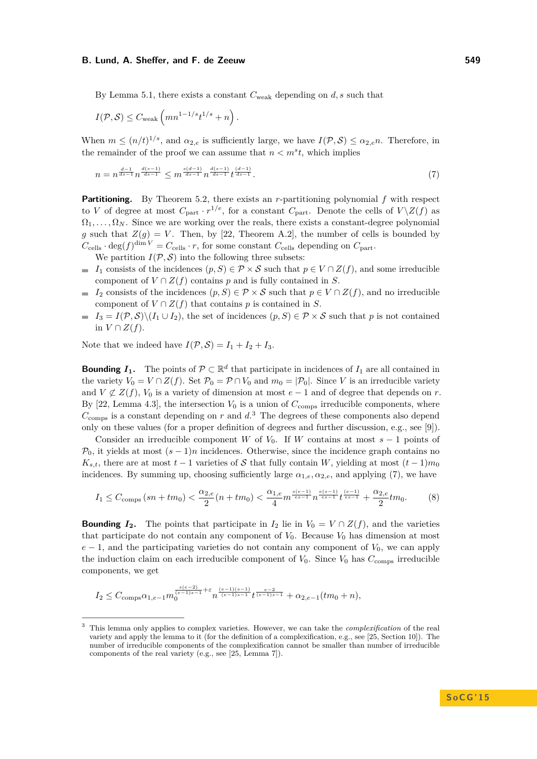By Lemma [5.1,](#page-11-1) there exists a constant  $C_{weak}$  depending on *d, s* such that

$$
I(\mathcal{P}, \mathcal{S}) \leq C_{\text{weak}} \left( mn^{1-1/s} t^{1/s} + n \right).
$$

When  $m \leq (n/t)^{1/s}$ , and  $\alpha_{2,e}$  is sufficiently large, we have  $I(\mathcal{P}, \mathcal{S}) \leq \alpha_{2,e} n$ . Therefore, in the remainder of the proof we can assume that  $n < m<sup>s</sup>t$ , which implies

<span id="page-12-1"></span>
$$
n = n^{\frac{d-1}{ds-1}} n^{\frac{d(s-1)}{ds-1}} \le m^{\frac{s(d-1)}{ds-1}} n^{\frac{d(s-1)}{ds-1}} t^{\frac{(d-1)}{ds-1}}.
$$
 (7)

**Partitioning.** By Theorem [5.2,](#page-11-3) there exists an *r*-partitioning polynomial *f* with respect to *V* of degree at most  $C_{part} \cdot r^{1/e}$ , for a constant  $C_{part}$ . Denote the cells of  $V \setminus Z(f)$  as  $\Omega_1, \ldots, \Omega_N$ . Since we are working over the reals, there exists a constant-degree polynomial *g* such that  $Z(g) = V$ . Then, by [\[22,](#page-14-21) Theorem A.2], the number of cells is bounded by  $C_{\text{cells}} \cdot \deg(f)^{\dim V} = C_{\text{cells}} \cdot r$ , for some constant  $C_{\text{cells}}$  depending on  $C_{\text{part}}$ .

We partition  $I(\mathcal{P}, \mathcal{S})$  into the following three subsets:

- $I_1$  consists of the incidences  $(p, S) \in \mathcal{P} \times \mathcal{S}$  such that  $p \in V \cap Z(f)$ , and some irreducible component of  $V \cap Z(f)$  contains *p* and is fully contained in *S*.
- *I*<sub>2</sub> consists of the incidences  $(p, S) \in \mathcal{P} \times \mathcal{S}$  such that  $p \in V \cap Z(f)$ , and no irreducible component of  $V \cap Z(f)$  that contains *p* is contained in *S*.
- $I_3 = I(\mathcal{P}, \mathcal{S}) \setminus (I_1 \cup I_2)$ , the set of incidences  $(p, S) \in \mathcal{P} \times \mathcal{S}$  such that *p* is not contained in  $V ∩ Z(f)$ .

Note that we indeed have  $I(\mathcal{P}, \mathcal{S}) = I_1 + I_2 + I_3$ .

**Bounding** *I*<sub>1</sub>. The points of  $\mathcal{P} \subset \mathbb{R}^d$  that participate in incidences of *I*<sub>1</sub> are all contained in the variety  $V_0 = V \cap Z(f)$ . Set  $\mathcal{P}_0 = \mathcal{P} \cap V_0$  and  $m_0 = |\mathcal{P}_0|$ . Since *V* is an irreducible variety and  $V \not\subset Z(f)$ ,  $V_0$  is a variety of dimension at most  $e-1$  and of degree that depends on *r*. By [\[22,](#page-14-21) Lemma 4.3], the intersection  $V_0$  is a union of  $C_{\text{comps}}$  irreducible components, where  $C_{\text{comps}}$  is a constant depending on *r* and  $d<sup>3</sup>$  $d<sup>3</sup>$  $d<sup>3</sup>$ . The degrees of these components also depend only on these values (for a proper definition of degrees and further discussion, e.g., see [\[9\]](#page-14-19)).

Consider an irreducible component *W* of  $V_0$ . If *W* contains at most  $s - 1$  points of  $\mathcal{P}_0$ , it yields at most  $(s-1)n$  incidences. Otherwise, since the incidence graph contains no  $K_{s,t}$ , there are at most  $t-1$  varieties of S that fully contain *W*, yielding at most  $(t-1)m_0$ incidences. By summing up, choosing sufficiently large  $\alpha_{1,e}, \alpha_{2,e}$ , and applying [\(7\)](#page-12-1), we have

<span id="page-12-2"></span>
$$
I_1 \leq C_{\text{comps}} \left( sn + tm_0 \right) < \frac{\alpha_{2,e}}{2} \left( n + tm_0 \right) < \frac{\alpha_{1,e}}{4} m^{\frac{s(e-1)}{es-1}} n^{\frac{e(s-1)}{es-1}} t^{\frac{(e-1)}{es-1}} + \frac{\alpha_{2,e}}{2} tm_0. \tag{8}
$$

**Bounding**  $I_2$ . The points that participate in  $I_2$  lie in  $V_0 = V \cap Z(f)$ , and the varieties that participate do not contain any component of  $V_0$ . Because  $V_0$  has dimension at most  $e-1$ , and the participating varieties do not contain any component of  $V_0$ , we can apply the induction claim on each irreducible component of  $V_0$ . Since  $V_0$  has  $C_{\text{comps}}$  irreducible components, we get

$$
I_2 \leq C_{\mathrm{comps}} \alpha_{1,e-1} m_0^{\frac{s(e-2)}{(e-1)s-1} + \varepsilon} n^{\frac{(e-1)(s-1)}{(e-1)s-1}} t^{\frac{e-2}{(e-1)s-1}} + \alpha_{2,e-1} (tm_0+n),
$$

<span id="page-12-0"></span><sup>3</sup> This lemma only applies to complex varieties. However, we can take the *complexification* of the real variety and apply the lemma to it (for the definition of a complexification, e.g., see [\[25,](#page-15-3) Section 10]). The number of irreducible components of the complexification cannot be smaller than number of irreducible components of the real variety (e.g., see [\[25,](#page-15-3) Lemma 7]).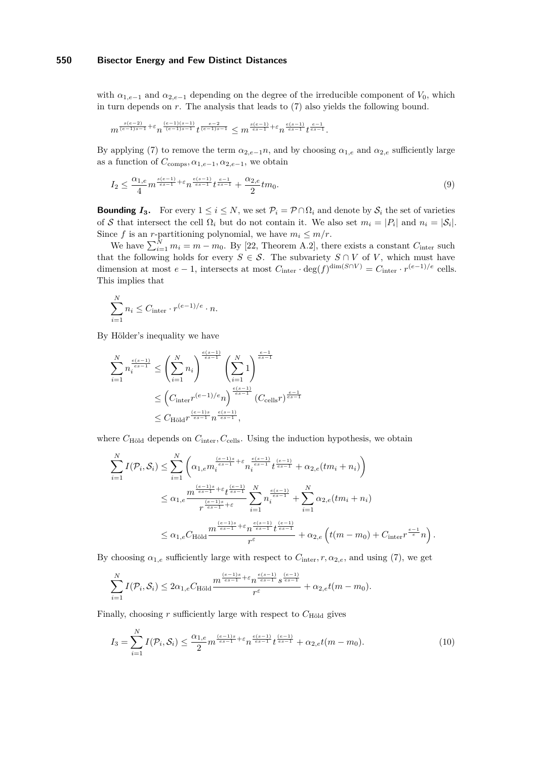with  $\alpha_{1,e-1}$  and  $\alpha_{2,e-1}$  depending on the degree of the irreducible component of  $V_0$ , which in turn depends on *r*. The analysis that leads to [\(7\)](#page-12-1) also yields the following bound.

$$
m^{\frac{s(e-2)}{(e-1)s-1}+\varepsilon} n^{\frac{(e-1)(s-1)}{(e-1)s-1}} t^{\frac{e-2}{(e-1)s-1}} \leq m^{\frac{s(e-1)}{es-1}+\varepsilon} n^{\frac{e(s-1)}{es-1}} t^{\frac{e-1}{es-1}}.
$$

By applying [\(7\)](#page-12-1) to remove the term  $\alpha_{2,e-1}n$ , and by choosing  $\alpha_{1,e}$  and  $\alpha_{2,e}$  sufficiently large as a function of  $C_{\text{comps}}, \alpha_{1,e-1}, \alpha_{2,e-1}$ , we obtain

<span id="page-13-0"></span>
$$
I_2 \leq \frac{\alpha_{1,e}}{4} m^{\frac{s(e-1)}{es-1} + \varepsilon} n^{\frac{e(s-1)}{es-1}} t^{\frac{e-1}{es-1}} + \frac{\alpha_{2,e}}{2} t m_0. \tag{9}
$$

**Bounding** *I***<sub>3</sub>**. For every  $1 \leq i \leq N$ , we set  $\mathcal{P}_i = \mathcal{P} \cap \Omega_i$  and denote by  $\mathcal{S}_i$  the set of varieties of S that intersect the cell  $\Omega_i$  but do not contain it. We also set  $m_i = |P_i|$  and  $n_i = |\mathcal{S}_i|$ . Since *f* is an *r*-partitioning polynomial, we have  $m_i \leq m/r$ .

We have  $\sum_{i=1}^{N} m_i = m - m_0$ . By [\[22,](#page-14-21) Theorem A.2], there exists a constant  $C_{\text{inter}}$  such that the following holds for every  $S \in \mathcal{S}$ . The subvariety  $S \cap V$  of *V*, which must have dimension at most  $e - 1$ , intersects at most  $C_{\text{inter}} \cdot \deg(f)^{\dim(S \cap V)} = C_{\text{inter}} \cdot r^{(e-1)/e}$  cells. This implies that

$$
\sum_{i=1}^{N} n_i \leq C_{\text{inter}} \cdot r^{(e-1)/e} \cdot n.
$$

By Hölder's inequality we have

$$
\sum_{i=1}^{N} n_i^{\frac{e(s-1)}{e(s-1)}} \le \left(\sum_{i=1}^{N} n_i\right)^{\frac{e(s-1)}{e(s-1)}} \left(\sum_{i=1}^{N} 1\right)^{\frac{e-1}{e(s-1)}}
$$
  

$$
\le \left(C_{\text{inter}} r^{(e-1)/e} n\right)^{\frac{e(s-1)}{e(s-1)}} (C_{\text{cells}} r)^{\frac{e-1}{e(s-1)}}
$$
  

$$
\le C_{\text{Höld}} r^{\frac{(e-1)s}{e(s-1)}} n^{\frac{e(s-1)}{e(s-1)}},
$$

where  $C_{\text{Höld}}$  depends on  $C_{\text{inter}}$ ,  $C_{\text{cells}}$ . Using the induction hypothesis, we obtain

$$
\sum_{i=1}^{N} I(\mathcal{P}_{i}, \mathcal{S}_{i}) \leq \sum_{i=1}^{N} \left( \alpha_{1,e} m_{i}^{\frac{(e-1)s}{es-1} + \varepsilon} n_{i}^{\frac{e(s-1)}{es-1}} t^{\frac{(e-1)}{es-1}} + \alpha_{2,e}(tm_{i} + n_{i}) \right)
$$
\n
$$
\leq \alpha_{1,e} \frac{m^{\frac{(e-1)s}{es-1} + \varepsilon} t^{\frac{(e-1)}{es-1}}}{r^{\frac{(e-1)s}{es-1} + \varepsilon}} \sum_{i=1}^{N} n_{i}^{\frac{e(s-1)}{es-1}} + \sum_{i=1}^{N} \alpha_{2,e}(tm_{i} + n_{i})
$$
\n
$$
\leq \alpha_{1,e} C_{\text{Höld}} \frac{m^{\frac{(e-1)s}{es-1} + \varepsilon} n^{\frac{e(s-1)}{es-1}} t^{\frac{(e-1)}{es-1}}}{r^{\varepsilon}} + \alpha_{2,e} \left( t(m - m_{0}) + C_{\text{inter}} r^{\frac{e-1}{e}} n \right)
$$

<span id="page-13-1"></span>*.*

By choosing  $\alpha_{1,e}$  sufficiently large with respect to  $C_{\text{inter}}$ ,  $r, \alpha_{2,e}$ , and using [\(7\)](#page-12-1), we get

$$
\sum_{i=1}^N I(\mathcal{P}_i, \mathcal{S}_i) \leq 2\alpha_{1,e} C_{\text{Höld}} \frac{m^{\frac{(e-1)s}{es-1} + \varepsilon} n^{\frac{e(s-1)}{es-1}} s^{\frac{(e-1)}{es-1}}}{r^{\varepsilon}} + \alpha_{2,e} t(m-m_0).
$$

Finally, choosing  $r$  sufficiently large with respect to  $C_{\text{Höld}}$  gives

$$
I_3 = \sum_{i=1}^{N} I(\mathcal{P}_i, \mathcal{S}_i) \le \frac{\alpha_{1,e}}{2} m^{\frac{(e-1)s}{es-1} + \varepsilon} n^{\frac{e(s-1)}{es-1}} t^{\frac{(e-1)}{es-1}} + \alpha_{2,e} t(m - m_0).
$$
(10)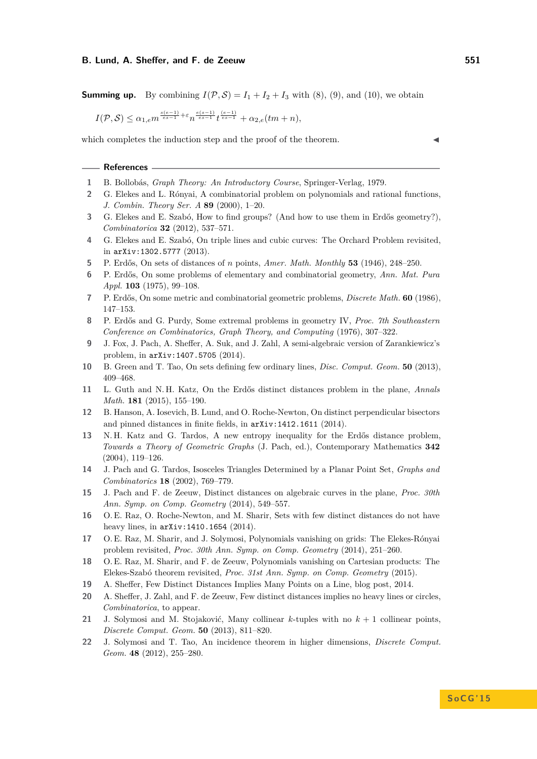**Summing up.** By combining  $I(\mathcal{P}, \mathcal{S}) = I_1 + I_2 + I_3$  with [\(8\)](#page-12-2), [\(9\)](#page-13-0), and [\(10\)](#page-13-1), we obtain

 $I(\mathcal{P}, \mathcal{S}) \leq \alpha_{1,e} m^{\frac{s(e-1)}{es-1} + \varepsilon} n^{\frac{e(s-1)}{es-1}} t^{\frac{(e-1)}{es-1}} + \alpha_{2,e}(tm+n),$ 

which completes the induction step and the proof of the theorem.

#### **References**

- <span id="page-14-20"></span>**1** B. Bollobás, *Graph Theory: An Introductory Course*, Springer-Verlag, 1979.
- <span id="page-14-16"></span>**2** G. Elekes and L. Rónyai, A combinatorial problem on polynomials and rational functions, *J. Combin. Theory Ser. A* **89** (2000), 1–20.
- <span id="page-14-18"></span>**3** G. Elekes and E. Szabó, How to find groups? (And how to use them in Erdős geometry?), *Combinatorica* **32** (2012), 537–571.
- <span id="page-14-12"></span>**4** G. Elekes and E. Szabó, On triple lines and cubic curves: The Orchard Problem revisited, in arXiv:1302.5777 (2013).
- <span id="page-14-2"></span>**5** P. Erdős, On sets of distances of *n* points, *Amer. Math. Monthly* **53** (1946), 248–250.
- <span id="page-14-3"></span>**6** P. Erdős, On some problems of elementary and combinatorial geometry, *Ann. Mat. Pura Appl.* **103** (1975), 99–108.
- <span id="page-14-0"></span>**7** P. Erdős, On some metric and combinatorial geometric problems, *Discrete Math.* **60** (1986), 147–153.
- <span id="page-14-13"></span>**8** P. Erdős and G. Purdy, Some extremal problems in geometry IV, *Proc. 7th Southeastern Conference on Combinatorics, Graph Theory, and Computing* (1976), 307–322.
- <span id="page-14-19"></span>**9** J. Fox, J. Pach, A. Sheffer, A. Suk, and J. Zahl, A semi-algebraic version of Zarankiewicz's problem, in arXiv:1407.5705 (2014).
- <span id="page-14-11"></span>**10** B. Green and T. Tao, On sets defining few ordinary lines, *Disc. Comput. Geom.* **50** (2013), 409–468.
- <span id="page-14-1"></span>**11** L. Guth and N. H. Katz, On the Erdős distinct distances problem in the plane, *Annals Math.* **181** (2015), 155–190.
- <span id="page-14-8"></span>**12** B. Hanson, A. Iosevich, B. Lund, and O. Roche-Newton, On distinct perpendicular bisectors and pinned distances in finite fields, in arXiv:1412.1611 (2014).
- <span id="page-14-10"></span>**13** N. H. Katz and G. Tardos, A new entropy inequality for the Erdős distance problem, *Towards a Theory of Geometric Graphs* (J. Pach, ed.), Contemporary Mathematics **342** (2004), 119–126.
- <span id="page-14-9"></span>**14** J. Pach and G. Tardos, Isosceles Triangles Determined by a Planar Point Set, *Graphs and Combinatorics* **18** (2002), 769–779.
- <span id="page-14-5"></span>**15** J. Pach and F. de Zeeuw, Distinct distances on algebraic curves in the plane, *Proc. 30th Ann. Symp. on Comp. Geometry* (2014), 549–557.
- <span id="page-14-6"></span>**16** O. E. Raz, O. Roche-Newton, and M. Sharir, Sets with few distinct distances do not have heavy lines, in arXiv:1410.1654 (2014).
- <span id="page-14-17"></span>**17** O. E. Raz, M. Sharir, and J. Solymosi, Polynomials vanishing on grids: The Elekes-Rónyai problem revisited, *Proc. 30th Ann. Symp. on Comp. Geometry* (2014), 251–260.
- <span id="page-14-14"></span>**18** O. E. Raz, M. Sharir, and F. de Zeeuw, Polynomials vanishing on Cartesian products: The Elekes-Szabó theorem revisited, *Proc. 31st Ann. Symp. on Comp. Geometry* (2015).
- <span id="page-14-4"></span>**19** A. Sheffer, Few Distinct Distances Implies Many Points on a Line, blog post, 2014.
- <span id="page-14-7"></span>**20** A. Sheffer, J. Zahl, and F. de Zeeuw, Few distinct distances implies no heavy lines or circles, *Combinatorica*, to appear.
- <span id="page-14-15"></span>**21** J. Solymosi and M. Stojaković, Many collinear *k*-tuples with no *k* + 1 collinear points, *Discrete Comput. Geom.* **50** (2013), 811–820.
- <span id="page-14-21"></span>**22** J. Solymosi and T. Tao, An incidence theorem in higher dimensions, *Discrete Comput. Geom.* **48** (2012), 255–280.